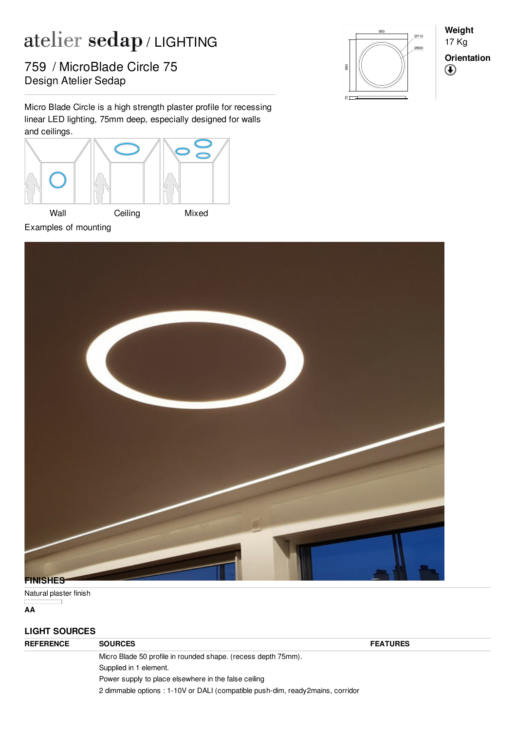## atelier sedap/LIGHTING

Pesign Atelier Sedap 759 / MicroBlade Circle 75

Micro Blade Circle is a high strength plaster profile for recessing linear LED lighting, 75mm deep, especially designed for walls and ceilings.





**Weight** 17 Kg **Orientation** $^{\circledR}$ 



Natural plaster finish

**AA**

## **LIGHT SOURCES**

| <b>REFERENCE</b> | <b>SOURCES</b>                                                                 | <b>FEATURES</b> |  |
|------------------|--------------------------------------------------------------------------------|-----------------|--|
|                  | Micro Blade 50 profile in rounded shape. (recess depth 75mm).                  |                 |  |
|                  | Supplied in 1 element.                                                         |                 |  |
|                  | Power supply to place elsewhere in the false ceiling                           |                 |  |
|                  | 2 dimmable options : 1-10V or DALI (compatible push-dim, ready2mains, corridor |                 |  |